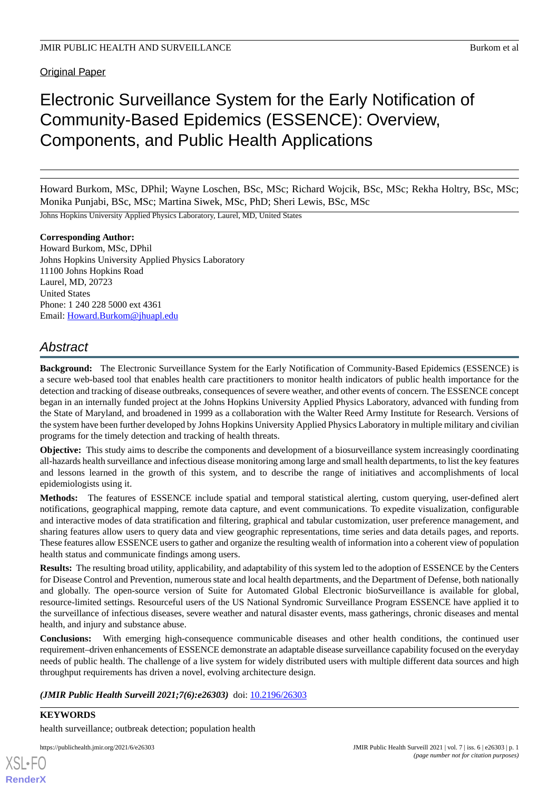Original Paper

# Electronic Surveillance System for the Early Notification of Community-Based Epidemics (ESSENCE): Overview, Components, and Public Health Applications

Howard Burkom, MSc, DPhil; Wayne Loschen, BSc, MSc; Richard Wojcik, BSc, MSc; Rekha Holtry, BSc, MSc; Monika Punjabi, BSc, MSc; Martina Siwek, MSc, PhD; Sheri Lewis, BSc, MSc

Johns Hopkins University Applied Physics Laboratory, Laurel, MD, United States

**Corresponding Author:** Howard Burkom, MSc, DPhil Johns Hopkins University Applied Physics Laboratory 11100 Johns Hopkins Road Laurel, MD, 20723 United States Phone: 1 240 228 5000 ext 4361 Email: [Howard.Burkom@jhuapl.edu](mailto:Howard.Burkom@jhuapl.edu)

## *Abstract*

**Background:** The Electronic Surveillance System for the Early Notification of Community-Based Epidemics (ESSENCE) is a secure web-based tool that enables health care practitioners to monitor health indicators of public health importance for the detection and tracking of disease outbreaks, consequences of severe weather, and other events of concern. The ESSENCE concept began in an internally funded project at the Johns Hopkins University Applied Physics Laboratory, advanced with funding from the State of Maryland, and broadened in 1999 as a collaboration with the Walter Reed Army Institute for Research. Versions of the system have been further developed by Johns Hopkins University Applied Physics Laboratory in multiple military and civilian programs for the timely detection and tracking of health threats.

**Objective:** This study aims to describe the components and development of a biosurveillance system increasingly coordinating all-hazards health surveillance and infectious disease monitoring among large and small health departments, to list the key features and lessons learned in the growth of this system, and to describe the range of initiatives and accomplishments of local epidemiologists using it.

**Methods:** The features of ESSENCE include spatial and temporal statistical alerting, custom querying, user-defined alert notifications, geographical mapping, remote data capture, and event communications. To expedite visualization, configurable and interactive modes of data stratification and filtering, graphical and tabular customization, user preference management, and sharing features allow users to query data and view geographic representations, time series and data details pages, and reports. These features allow ESSENCE users to gather and organize the resulting wealth of information into a coherent view of population health status and communicate findings among users.

**Results:** The resulting broad utility, applicability, and adaptability of this system led to the adoption of ESSENCE by the Centers for Disease Control and Prevention, numerous state and local health departments, and the Department of Defense, both nationally and globally. The open-source version of Suite for Automated Global Electronic bioSurveillance is available for global, resource-limited settings. Resourceful users of the US National Syndromic Surveillance Program ESSENCE have applied it to the surveillance of infectious diseases, severe weather and natural disaster events, mass gatherings, chronic diseases and mental health, and injury and substance abuse.

**Conclusions:** With emerging high-consequence communicable diseases and other health conditions, the continued user requirement–driven enhancements of ESSENCE demonstrate an adaptable disease surveillance capability focused on the everyday needs of public health. The challenge of a live system for widely distributed users with multiple different data sources and high throughput requirements has driven a novel, evolving architecture design.

*(JMIR Public Health Surveill 2021;7(6):e26303)* doi: [10.2196/26303](http://dx.doi.org/10.2196/26303)

**KEYWORDS** health surveillance; outbreak detection; population health

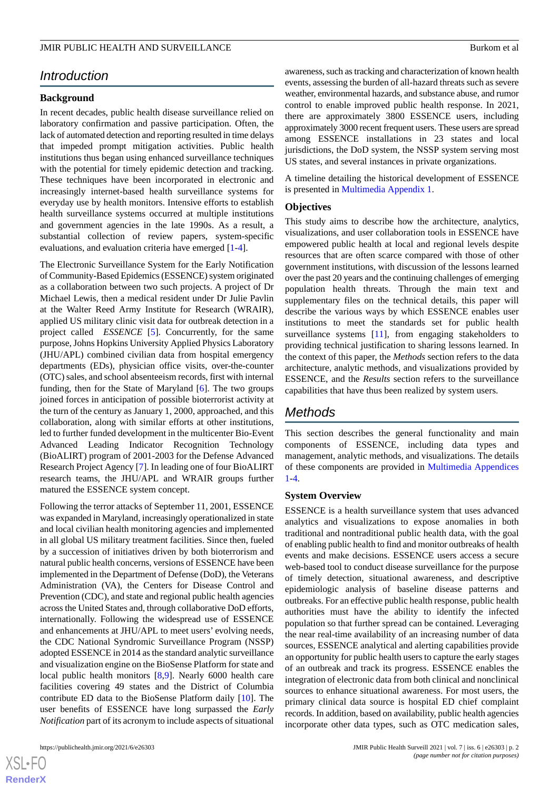## *Introduction*

#### **Background**

In recent decades, public health disease surveillance relied on laboratory confirmation and passive participation. Often, the lack of automated detection and reporting resulted in time delays that impeded prompt mitigation activities. Public health institutions thus began using enhanced surveillance techniques with the potential for timely epidemic detection and tracking. These techniques have been incorporated in electronic and increasingly internet-based health surveillance systems for everyday use by health monitors. Intensive efforts to establish health surveillance systems occurred at multiple institutions and government agencies in the late 1990s. As a result, a substantial collection of review papers, system-specific evaluations, and evaluation criteria have emerged [\[1](#page-9-0)[-4](#page-9-1)].

The Electronic Surveillance System for the Early Notification of Community-Based Epidemics (ESSENCE) system originated as a collaboration between two such projects. A project of Dr Michael Lewis, then a medical resident under Dr Julie Pavlin at the Walter Reed Army Institute for Research (WRAIR), applied US military clinic visit data for outbreak detection in a project called *ESSENCE* [\[5\]](#page-9-2). Concurrently, for the same purpose, Johns Hopkins University Applied Physics Laboratory (JHU/APL) combined civilian data from hospital emergency departments (EDs), physician office visits, over-the-counter (OTC) sales, and school absenteeism records, first with internal funding, then for the State of Maryland [\[6\]](#page-9-3). The two groups joined forces in anticipation of possible bioterrorist activity at the turn of the century as January 1, 2000, approached, and this collaboration, along with similar efforts at other institutions, led to further funded development in the multicenter Bio-Event Advanced Leading Indicator Recognition Technology (BioALIRT) program of 2001-2003 for the Defense Advanced Research Project Agency [[7\]](#page-9-4). In leading one of four BioALIRT research teams, the JHU/APL and WRAIR groups further matured the ESSENCE system concept.

Following the terror attacks of September 11, 2001, ESSENCE was expanded in Maryland, increasingly operationalized in state and local civilian health monitoring agencies and implemented in all global US military treatment facilities. Since then, fueled by a succession of initiatives driven by both bioterrorism and natural public health concerns, versions of ESSENCE have been implemented in the Department of Defense (DoD), the Veterans Administration (VA), the Centers for Disease Control and Prevention (CDC), and state and regional public health agencies across the United States and, through collaborative DoD efforts, internationally. Following the widespread use of ESSENCE and enhancements at JHU/APL to meet users' evolving needs, the CDC National Syndromic Surveillance Program (NSSP) adopted ESSENCE in 2014 as the standard analytic surveillance and visualization engine on the BioSense Platform for state and local public health monitors [[8,](#page-9-5)[9](#page-9-6)]. Nearly 6000 health care facilities covering 49 states and the District of Columbia contribute ED data to the BioSense Platform daily [[10\]](#page-9-7). The user benefits of ESSENCE have long surpassed the *Early Notification* part of its acronym to include aspects of situational

awareness, such as tracking and characterization of known health events, assessing the burden of all-hazard threats such as severe weather, environmental hazards, and substance abuse, and rumor control to enable improved public health response. In 2021, there are approximately 3800 ESSENCE users, including approximately 3000 recent frequent users. These users are spread among ESSENCE installations in 23 states and local jurisdictions, the DoD system, the NSSP system serving most US states, and several instances in private organizations.

A timeline detailing the historical development of ESSENCE is presented in [Multimedia Appendix 1](#page-8-0).

#### **Objectives**

This study aims to describe how the architecture, analytics, visualizations, and user collaboration tools in ESSENCE have empowered public health at local and regional levels despite resources that are often scarce compared with those of other government institutions, with discussion of the lessons learned over the past 20 years and the continuing challenges of emerging population health threats. Through the main text and supplementary files on the technical details, this paper will describe the various ways by which ESSENCE enables user institutions to meet the standards set for public health surveillance systems [[11\]](#page-9-8), from engaging stakeholders to providing technical justification to sharing lessons learned. In the context of this paper, the *Methods* section refers to the data architecture, analytic methods, and visualizations provided by ESSENCE, and the *Results* section refers to the surveillance capabilities that have thus been realized by system users.

## *Methods*

This section describes the general functionality and main components of ESSENCE, including data types and management, analytic methods, and visualizations. The details of these components are provided in [Multimedia Appendices](#page-8-0) [1-](#page-8-0)[4.](#page-9-9)

#### **System Overview**

ESSENCE is a health surveillance system that uses advanced analytics and visualizations to expose anomalies in both traditional and nontraditional public health data, with the goal of enabling public health to find and monitor outbreaks of health events and make decisions. ESSENCE users access a secure web-based tool to conduct disease surveillance for the purpose of timely detection, situational awareness, and descriptive epidemiologic analysis of baseline disease patterns and outbreaks. For an effective public health response, public health authorities must have the ability to identify the infected population so that further spread can be contained. Leveraging the near real-time availability of an increasing number of data sources, ESSENCE analytical and alerting capabilities provide an opportunity for public health users to capture the early stages of an outbreak and track its progress. ESSENCE enables the integration of electronic data from both clinical and nonclinical sources to enhance situational awareness. For most users, the primary clinical data source is hospital ED chief complaint records. In addition, based on availability, public health agencies incorporate other data types, such as OTC medication sales,

```
XS\cdotFC
RenderX
```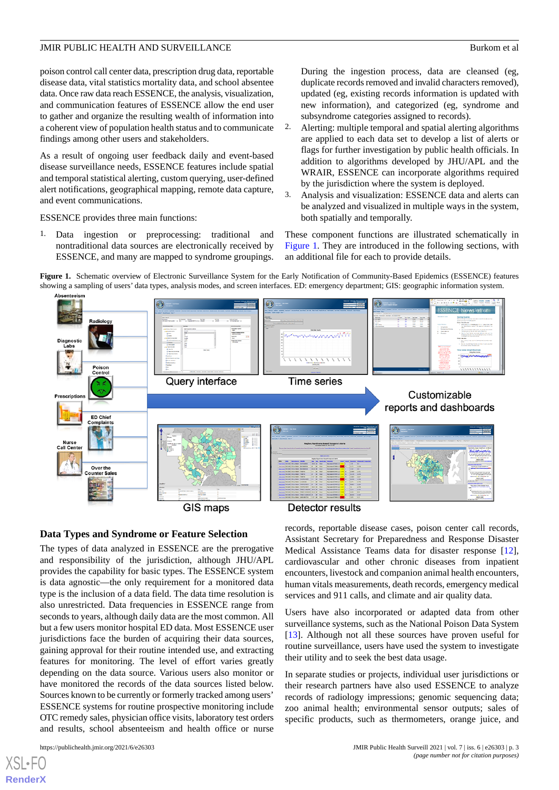poison control call center data, prescription drug data, reportable disease data, vital statistics mortality data, and school absentee data. Once raw data reach ESSENCE, the analysis, visualization, and communication features of ESSENCE allow the end user to gather and organize the resulting wealth of information into a coherent view of population health status and to communicate findings among other users and stakeholders.

As a result of ongoing user feedback daily and event-based disease surveillance needs, ESSENCE features include spatial and temporal statistical alerting, custom querying, user-defined alert notifications, geographical mapping, remote data capture, and event communications.

ESSENCE provides three main functions:

<span id="page-2-0"></span>1. Data ingestion or preprocessing: traditional and nontraditional data sources are electronically received by ESSENCE, and many are mapped to syndrome groupings.

During the ingestion process, data are cleansed (eg, duplicate records removed and invalid characters removed), updated (eg, existing records information is updated with new information), and categorized (eg, syndrome and subsyndrome categories assigned to records).

- 2. Alerting: multiple temporal and spatial alerting algorithms are applied to each data set to develop a list of alerts or flags for further investigation by public health officials. In addition to algorithms developed by JHU/APL and the WRAIR, ESSENCE can incorporate algorithms required by the jurisdiction where the system is deployed.
- 3. Analysis and visualization: ESSENCE data and alerts can be analyzed and visualized in multiple ways in the system, both spatially and temporally.

These component functions are illustrated schematically in [Figure 1.](#page-2-0) They are introduced in the following sections, with an additional file for each to provide details.

**Figure 1.** Schematic overview of Electronic Surveillance System for the Early Notification of Community-Based Epidemics (ESSENCE) features showing a sampling of users' data types, analysis modes, and screen interfaces. ED: emergency department; GIS: geographic information system.



## **Data Types and Syndrome or Feature Selection**

The types of data analyzed in ESSENCE are the prerogative and responsibility of the jurisdiction, although JHU/APL provides the capability for basic types. The ESSENCE system is data agnostic—the only requirement for a monitored data type is the inclusion of a data field. The data time resolution is also unrestricted. Data frequencies in ESSENCE range from seconds to years, although daily data are the most common. All but a few users monitor hospital ED data. Most ESSENCE user jurisdictions face the burden of acquiring their data sources, gaining approval for their routine intended use, and extracting features for monitoring. The level of effort varies greatly depending on the data source. Various users also monitor or have monitored the records of the data sources listed below. Sources known to be currently or formerly tracked among users' ESSENCE systems for routine prospective monitoring include OTC remedy sales, physician office visits, laboratory test orders and results, school absenteeism and health office or nurse

records, reportable disease cases, poison center call records, Assistant Secretary for Preparedness and Response Disaster Medical Assistance Teams data for disaster response [[12\]](#page-9-10), cardiovascular and other chronic diseases from inpatient encounters, livestock and companion animal health encounters, human vitals measurements, death records, emergency medical services and 911 calls, and climate and air quality data.

Users have also incorporated or adapted data from other surveillance systems, such as the National Poison Data System [[13\]](#page-9-11). Although not all these sources have proven useful for routine surveillance, users have used the system to investigate their utility and to seek the best data usage.

In separate studies or projects, individual user jurisdictions or their research partners have also used ESSENCE to analyze records of radiology impressions; genomic sequencing data; zoo animal health; environmental sensor outputs; sales of specific products, such as thermometers, orange juice, and

[XSL](http://www.w3.org/Style/XSL)•FO **[RenderX](http://www.renderx.com/)**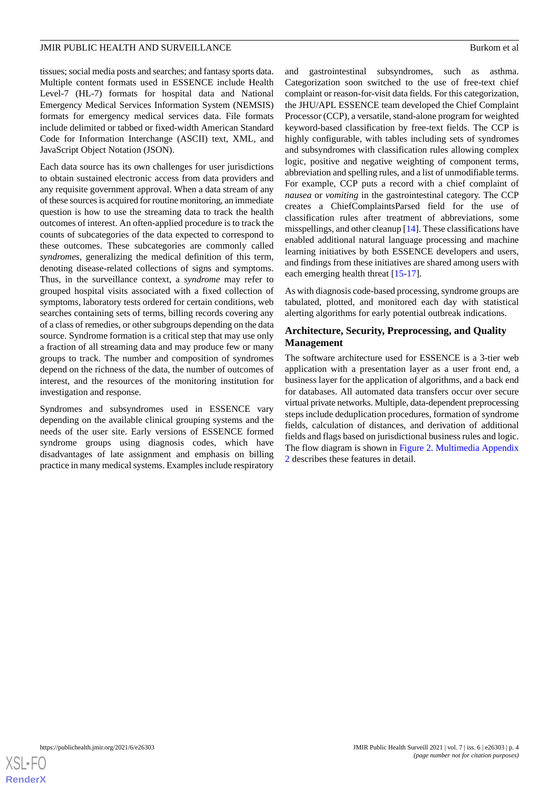tissues; social media posts and searches; and fantasy sports data. Multiple content formats used in ESSENCE include Health Level-7 (HL-7) formats for hospital data and National Emergency Medical Services Information System (NEMSIS) formats for emergency medical services data. File formats include delimited or tabbed or fixed-width American Standard Code for Information Interchange (ASCII) text, XML, and JavaScript Object Notation (JSON).

Each data source has its own challenges for user jurisdictions to obtain sustained electronic access from data providers and any requisite government approval. When a data stream of any of these sources is acquired for routine monitoring, an immediate question is how to use the streaming data to track the health outcomes of interest. An often-applied procedure is to track the counts of subcategories of the data expected to correspond to these outcomes. These subcategories are commonly called *syndromes*, generalizing the medical definition of this term, denoting disease-related collections of signs and symptoms. Thus, in the surveillance context, a *syndrome* may refer to grouped hospital visits associated with a fixed collection of symptoms, laboratory tests ordered for certain conditions, web searches containing sets of terms, billing records covering any of a class of remedies, or other subgroups depending on the data source. Syndrome formation is a critical step that may use only a fraction of all streaming data and may produce few or many groups to track. The number and composition of syndromes depend on the richness of the data, the number of outcomes of interest, and the resources of the monitoring institution for investigation and response.

Syndromes and subsyndromes used in ESSENCE vary depending on the available clinical grouping systems and the needs of the user site. Early versions of ESSENCE formed syndrome groups using diagnosis codes, which have disadvantages of late assignment and emphasis on billing practice in many medical systems. Examples include respiratory

and gastrointestinal subsyndromes, such as asthma. Categorization soon switched to the use of free-text chief complaint or reason-for-visit data fields. For this categorization, the JHU/APL ESSENCE team developed the Chief Complaint Processor (CCP), a versatile, stand-alone program for weighted keyword-based classification by free-text fields. The CCP is highly configurable, with tables including sets of syndromes and subsyndromes with classification rules allowing complex logic, positive and negative weighting of component terms, abbreviation and spelling rules, and a list of unmodifiable terms. For example, CCP puts a record with a chief complaint of *nausea* or *vomiting* in the gastrointestinal category. The CCP creates a ChiefComplaintsParsed field for the use of classification rules after treatment of abbreviations, some misspellings, and other cleanup [[14\]](#page-9-12). These classifications have enabled additional natural language processing and machine learning initiatives by both ESSENCE developers and users, and findings from these initiatives are shared among users with each emerging health threat [\[15](#page-9-13)[-17](#page-9-14)].

As with diagnosis code-based processing, syndrome groups are tabulated, plotted, and monitored each day with statistical alerting algorithms for early potential outbreak indications.

## **Architecture, Security, Preprocessing, and Quality Management**

The software architecture used for ESSENCE is a 3-tier web application with a presentation layer as a user front end, a business layer for the application of algorithms, and a back end for databases. All automated data transfers occur over secure virtual private networks. Multiple, data-dependent preprocessing steps include deduplication procedures, formation of syndrome fields, calculation of distances, and derivation of additional fields and flags based on jurisdictional business rules and logic. The flow diagram is shown in [Figure 2](#page-4-0). [Multimedia Appendix](#page-8-1) [2](#page-8-1) describes these features in detail.

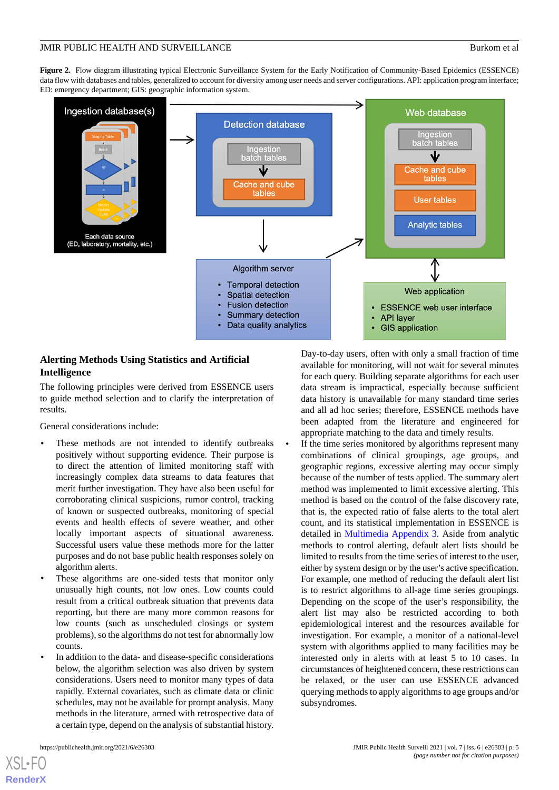<span id="page-4-0"></span>**Figure 2.** Flow diagram illustrating typical Electronic Surveillance System for the Early Notification of Community-Based Epidemics (ESSENCE) data flow with databases and tables, generalized to account for diversity among user needs and server configurations. API: application program interface; ED: emergency department; GIS: geographic information system.



## **Alerting Methods Using Statistics and Artificial Intelligence**

The following principles were derived from ESSENCE users to guide method selection and to clarify the interpretation of results.

General considerations include:

- These methods are not intended to identify outbreaks positively without supporting evidence. Their purpose is to direct the attention of limited monitoring staff with increasingly complex data streams to data features that merit further investigation. They have also been useful for corroborating clinical suspicions, rumor control, tracking of known or suspected outbreaks, monitoring of special events and health effects of severe weather, and other locally important aspects of situational awareness. Successful users value these methods more for the latter purposes and do not base public health responses solely on algorithm alerts.
- These algorithms are one-sided tests that monitor only unusually high counts, not low ones. Low counts could result from a critical outbreak situation that prevents data reporting, but there are many more common reasons for low counts (such as unscheduled closings or system problems), so the algorithms do not test for abnormally low counts.
- In addition to the data- and disease-specific considerations below, the algorithm selection was also driven by system considerations. Users need to monitor many types of data rapidly. External covariates, such as climate data or clinic schedules, may not be available for prompt analysis. Many methods in the literature, armed with retrospective data of a certain type, depend on the analysis of substantial history.

[XSL](http://www.w3.org/Style/XSL)•FO **[RenderX](http://www.renderx.com/)**

Day-to-day users, often with only a small fraction of time available for monitoring, will not wait for several minutes for each query. Building separate algorithms for each user data stream is impractical, especially because sufficient data history is unavailable for many standard time series and all ad hoc series; therefore, ESSENCE methods have been adapted from the literature and engineered for appropriate matching to the data and timely results.

If the time series monitored by algorithms represent many combinations of clinical groupings, age groups, and geographic regions, excessive alerting may occur simply because of the number of tests applied. The summary alert method was implemented to limit excessive alerting. This method is based on the control of the false discovery rate, that is, the expected ratio of false alerts to the total alert count, and its statistical implementation in ESSENCE is detailed in [Multimedia Appendix 3](#page-9-15). Aside from analytic methods to control alerting, default alert lists should be limited to results from the time series of interest to the user, either by system design or by the user's active specification. For example, one method of reducing the default alert list is to restrict algorithms to all-age time series groupings. Depending on the scope of the user's responsibility, the alert list may also be restricted according to both epidemiological interest and the resources available for investigation. For example, a monitor of a national-level system with algorithms applied to many facilities may be interested only in alerts with at least 5 to 10 cases. In circumstances of heightened concern, these restrictions can be relaxed, or the user can use ESSENCE advanced querying methods to apply algorithms to age groups and/or subsyndromes.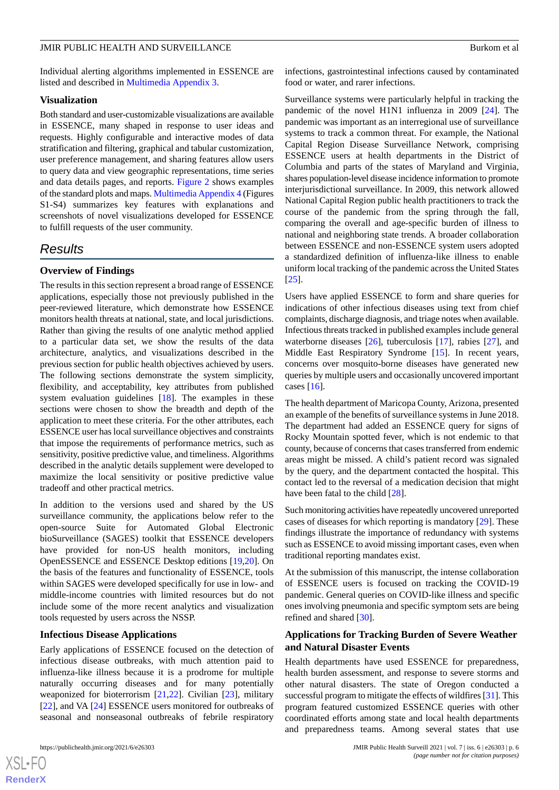Individual alerting algorithms implemented in ESSENCE are listed and described in [Multimedia Appendix 3.](#page-9-15)

#### **Visualization**

Both standard and user-customizable visualizations are available in ESSENCE, many shaped in response to user ideas and requests. Highly configurable and interactive modes of data stratification and filtering, graphical and tabular customization, user preference management, and sharing features allow users to query data and view geographic representations, time series and data details pages, and reports. [Figure 2](#page-4-0) shows examples of the standard plots and maps. [Multimedia Appendix 4](#page-9-9) (Figures S1-S4) summarizes key features with explanations and screenshots of novel visualizations developed for ESSENCE to fulfill requests of the user community.

## *Results*

#### **Overview of Findings**

The results in this section represent a broad range of ESSENCE applications, especially those not previously published in the peer-reviewed literature, which demonstrate how ESSENCE monitors health threats at national, state, and local jurisdictions. Rather than giving the results of one analytic method applied to a particular data set, we show the results of the data architecture, analytics, and visualizations described in the previous section for public health objectives achieved by users. The following sections demonstrate the system simplicity, flexibility, and acceptability, key attributes from published system evaluation guidelines [\[18](#page-9-16)]. The examples in these sections were chosen to show the breadth and depth of the application to meet these criteria. For the other attributes, each ESSENCE user has local surveillance objectives and constraints that impose the requirements of performance metrics, such as sensitivity, positive predictive value, and timeliness. Algorithms described in the analytic details supplement were developed to maximize the local sensitivity or positive predictive value tradeoff and other practical metrics.

In addition to the versions used and shared by the US surveillance community, the applications below refer to the open-source Suite for Automated Global Electronic bioSurveillance (SAGES) toolkit that ESSENCE developers have provided for non-US health monitors, including OpenESSENCE and ESSENCE Desktop editions [\[19](#page-10-0),[20\]](#page-10-1). On the basis of the features and functionality of ESSENCE, tools within SAGES were developed specifically for use in low- and middle-income countries with limited resources but do not include some of the more recent analytics and visualization tools requested by users across the NSSP.

#### **Infectious Disease Applications**

Early applications of ESSENCE focused on the detection of infectious disease outbreaks, with much attention paid to influenza-like illness because it is a prodrome for multiple naturally occurring diseases and for many potentially weaponized for bioterrorism [[21,](#page-10-2)[22](#page-10-3)]. Civilian [[23\]](#page-10-4), military [[22\]](#page-10-3), and VA [[24\]](#page-10-5) ESSENCE users monitored for outbreaks of seasonal and nonseasonal outbreaks of febrile respiratory

infections, gastrointestinal infections caused by contaminated food or water, and rarer infections.

Surveillance systems were particularly helpful in tracking the pandemic of the novel H1N1 influenza in 2009 [\[24](#page-10-5)]. The pandemic was important as an interregional use of surveillance systems to track a common threat. For example, the National Capital Region Disease Surveillance Network, comprising ESSENCE users at health departments in the District of Columbia and parts of the states of Maryland and Virginia, shares population-level disease incidence information to promote interjurisdictional surveillance. In 2009, this network allowed National Capital Region public health practitioners to track the course of the pandemic from the spring through the fall, comparing the overall and age-specific burden of illness to national and neighboring state trends. A broader collaboration between ESSENCE and non-ESSENCE system users adopted a standardized definition of influenza-like illness to enable uniform local tracking of the pandemic across the United States [[25\]](#page-10-6).

Users have applied ESSENCE to form and share queries for indications of other infectious diseases using text from chief complaints, discharge diagnosis, and triage notes when available. Infectious threats tracked in published examples include general waterborne diseases [\[26](#page-10-7)], tuberculosis [[17\]](#page-9-14), rabies [[27\]](#page-10-8), and Middle East Respiratory Syndrome [[15\]](#page-9-13). In recent years, concerns over mosquito-borne diseases have generated new queries by multiple users and occasionally uncovered important cases  $[16]$  $[16]$ .

The health department of Maricopa County, Arizona, presented an example of the benefits of surveillance systems in June 2018. The department had added an ESSENCE query for signs of Rocky Mountain spotted fever, which is not endemic to that county, because of concerns that cases transferred from endemic areas might be missed. A child's patient record was signaled by the query, and the department contacted the hospital. This contact led to the reversal of a medication decision that might have been fatal to the child [\[28](#page-10-9)].

Such monitoring activities have repeatedly uncovered unreported cases of diseases for which reporting is mandatory [[29\]](#page-10-10). These findings illustrate the importance of redundancy with systems such as ESSENCE to avoid missing important cases, even when traditional reporting mandates exist.

At the submission of this manuscript, the intense collaboration of ESSENCE users is focused on tracking the COVID-19 pandemic. General queries on COVID-like illness and specific ones involving pneumonia and specific symptom sets are being refined and shared [\[30](#page-10-11)].

## **Applications for Tracking Burden of Severe Weather and Natural Disaster Events**

Health departments have used ESSENCE for preparedness, health burden assessment, and response to severe storms and other natural disasters. The state of Oregon conducted a successful program to mitigate the effects of wildfires [[31\]](#page-10-12). This program featured customized ESSENCE queries with other coordinated efforts among state and local health departments and preparedness teams. Among several states that use

 $XS$  $\cdot$ FC **[RenderX](http://www.renderx.com/)**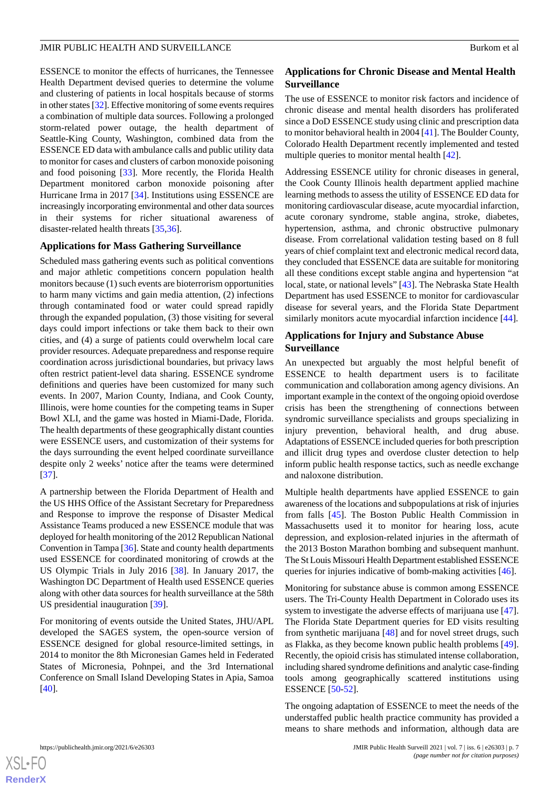ESSENCE to monitor the effects of hurricanes, the Tennessee Health Department devised queries to determine the volume and clustering of patients in local hospitals because of storms in other states [[32\]](#page-10-13). Effective monitoring of some events requires a combination of multiple data sources. Following a prolonged storm-related power outage, the health department of Seattle-King County, Washington, combined data from the ESSENCE ED data with ambulance calls and public utility data to monitor for cases and clusters of carbon monoxide poisoning and food poisoning [[33\]](#page-10-14). More recently, the Florida Health Department monitored carbon monoxide poisoning after Hurricane Irma in 2017 [\[34](#page-10-15)]. Institutions using ESSENCE are increasingly incorporating environmental and other data sources in their systems for richer situational awareness of disaster-related health threats [\[35](#page-10-16),[36\]](#page-10-17).

#### **Applications for Mass Gathering Surveillance**

Scheduled mass gathering events such as political conventions and major athletic competitions concern population health monitors because (1) such events are bioterrorism opportunities to harm many victims and gain media attention, (2) infections through contaminated food or water could spread rapidly through the expanded population, (3) those visiting for several days could import infections or take them back to their own cities, and (4) a surge of patients could overwhelm local care provider resources. Adequate preparedness and response require coordination across jurisdictional boundaries, but privacy laws often restrict patient-level data sharing. ESSENCE syndrome definitions and queries have been customized for many such events. In 2007, Marion County, Indiana, and Cook County, Illinois, were home counties for the competing teams in Super Bowl XLI, and the game was hosted in Miami-Dade, Florida. The health departments of these geographically distant counties were ESSENCE users, and customization of their systems for the days surrounding the event helped coordinate surveillance despite only 2 weeks' notice after the teams were determined [[37\]](#page-10-18).

A partnership between the Florida Department of Health and the US HHS Office of the Assistant Secretary for Preparedness and Response to improve the response of Disaster Medical Assistance Teams produced a new ESSENCE module that was deployed for health monitoring of the 2012 Republican National Convention in Tampa [\[36\]](#page-10-17). State and county health departments used ESSENCE for coordinated monitoring of crowds at the US Olympic Trials in July 2016 [\[38](#page-10-19)]. In January 2017, the Washington DC Department of Health used ESSENCE queries along with other data sources for health surveillance at the 58th US presidential inauguration [\[39](#page-10-20)].

For monitoring of events outside the United States, JHU/APL developed the SAGES system, the open-source version of ESSENCE designed for global resource-limited settings, in 2014 to monitor the 8th Micronesian Games held in Federated States of Micronesia, Pohnpei, and the 3rd International Conference on Small Island Developing States in Apia, Samoa [[40\]](#page-11-0).

## **Applications for Chronic Disease and Mental Health Surveillance**

The use of ESSENCE to monitor risk factors and incidence of chronic disease and mental health disorders has proliferated since a DoD ESSENCE study using clinic and prescription data to monitor behavioral health in 2004 [\[41](#page-11-1)]. The Boulder County, Colorado Health Department recently implemented and tested multiple queries to monitor mental health [\[42](#page-11-2)].

Addressing ESSENCE utility for chronic diseases in general, the Cook County Illinois health department applied machine learning methods to assess the utility of ESSENCE ED data for monitoring cardiovascular disease, acute myocardial infarction, acute coronary syndrome, stable angina, stroke, diabetes, hypertension, asthma, and chronic obstructive pulmonary disease. From correlational validation testing based on 8 full years of chief complaint text and electronic medical record data, they concluded that ESSENCE data are suitable for monitoring all these conditions except stable angina and hypertension "at local, state, or national levels" [\[43](#page-11-3)]. The Nebraska State Health Department has used ESSENCE to monitor for cardiovascular disease for several years, and the Florida State Department similarly monitors acute myocardial infarction incidence [\[44](#page-11-4)].

## **Applications for Injury and Substance Abuse Surveillance**

An unexpected but arguably the most helpful benefit of ESSENCE to health department users is to facilitate communication and collaboration among agency divisions. An important example in the context of the ongoing opioid overdose crisis has been the strengthening of connections between syndromic surveillance specialists and groups specializing in injury prevention, behavioral health, and drug abuse. Adaptations of ESSENCE included queries for both prescription and illicit drug types and overdose cluster detection to help inform public health response tactics, such as needle exchange and naloxone distribution.

Multiple health departments have applied ESSENCE to gain awareness of the locations and subpopulations at risk of injuries from falls [\[45](#page-11-5)]. The Boston Public Health Commission in Massachusetts used it to monitor for hearing loss, acute depression, and explosion-related injuries in the aftermath of the 2013 Boston Marathon bombing and subsequent manhunt. The St Louis Missouri Health Department established ESSENCE queries for injuries indicative of bomb-making activities [\[46](#page-11-6)].

Monitoring for substance abuse is common among ESSENCE users. The Tri-County Health Department in Colorado uses its system to investigate the adverse effects of marijuana use [[47\]](#page-11-7). The Florida State Department queries for ED visits resulting from synthetic marijuana [[48\]](#page-11-8) and for novel street drugs, such as Flakka, as they become known public health problems [[49\]](#page-11-9). Recently, the opioid crisis has stimulated intense collaboration, including shared syndrome definitions and analytic case-finding tools among geographically scattered institutions using ESSENCE [[50-](#page-11-10)[52](#page-11-11)].

The ongoing adaptation of ESSENCE to meet the needs of the understaffed public health practice community has provided a means to share methods and information, although data are

```
XS • FC
RenderX
```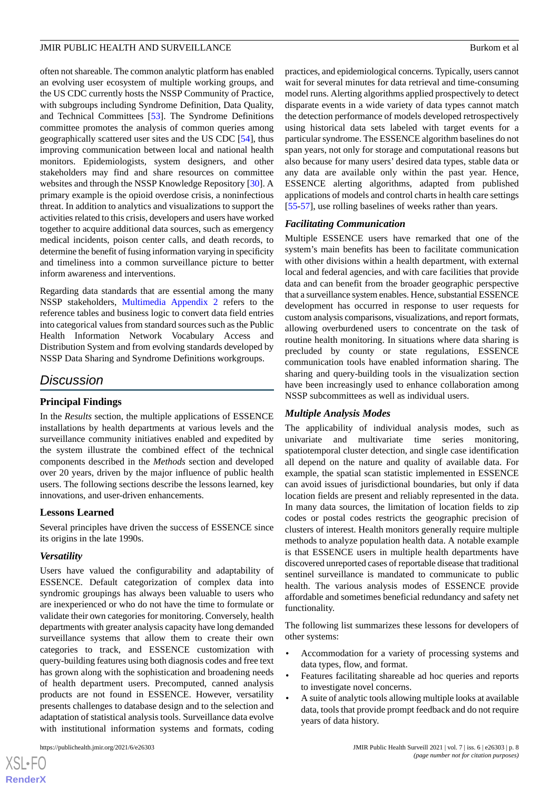often not shareable. The common analytic platform has enabled an evolving user ecosystem of multiple working groups, and the US CDC currently hosts the NSSP Community of Practice, with subgroups including Syndrome Definition, Data Quality, and Technical Committees [[53\]](#page-11-12). The Syndrome Definitions committee promotes the analysis of common queries among geographically scattered user sites and the US CDC [\[54](#page-11-13)], thus improving communication between local and national health monitors. Epidemiologists, system designers, and other stakeholders may find and share resources on committee websites and through the NSSP Knowledge Repository [\[30](#page-10-11)]. A primary example is the opioid overdose crisis, a noninfectious threat. In addition to analytics and visualizations to support the activities related to this crisis, developers and users have worked together to acquire additional data sources, such as emergency medical incidents, poison center calls, and death records, to determine the benefit of fusing information varying in specificity and timeliness into a common surveillance picture to better inform awareness and interventions.

Regarding data standards that are essential among the many NSSP stakeholders, [Multimedia Appendix 2](#page-8-1) refers to the reference tables and business logic to convert data field entries into categorical values from standard sources such as the Public Health Information Network Vocabulary Access and Distribution System and from evolving standards developed by NSSP Data Sharing and Syndrome Definitions workgroups.

## *Discussion*

## **Principal Findings**

In the *Results* section, the multiple applications of ESSENCE installations by health departments at various levels and the surveillance community initiatives enabled and expedited by the system illustrate the combined effect of the technical components described in the *Methods* section and developed over 20 years, driven by the major influence of public health users. The following sections describe the lessons learned, key innovations, and user-driven enhancements.

#### **Lessons Learned**

Several principles have driven the success of ESSENCE since its origins in the late 1990s.

#### *Versatility*

Users have valued the configurability and adaptability of ESSENCE. Default categorization of complex data into syndromic groupings has always been valuable to users who are inexperienced or who do not have the time to formulate or validate their own categories for monitoring. Conversely, health departments with greater analysis capacity have long demanded surveillance systems that allow them to create their own categories to track, and ESSENCE customization with query-building features using both diagnosis codes and free text has grown along with the sophistication and broadening needs of health department users. Precomputed, canned analysis products are not found in ESSENCE. However, versatility presents challenges to database design and to the selection and adaptation of statistical analysis tools. Surveillance data evolve with institutional information systems and formats, coding

[XSL](http://www.w3.org/Style/XSL)•FO **[RenderX](http://www.renderx.com/)** practices, and epidemiological concerns. Typically, users cannot wait for several minutes for data retrieval and time-consuming model runs. Alerting algorithms applied prospectively to detect disparate events in a wide variety of data types cannot match the detection performance of models developed retrospectively using historical data sets labeled with target events for a particular syndrome. The ESSENCE algorithm baselines do not span years, not only for storage and computational reasons but also because for many users' desired data types, stable data or any data are available only within the past year. Hence, ESSENCE alerting algorithms, adapted from published applications of models and control charts in health care settings [[55](#page-11-14)[-57](#page-11-15)], use rolling baselines of weeks rather than years.

#### *Facilitating Communication*

Multiple ESSENCE users have remarked that one of the system's main benefits has been to facilitate communication with other divisions within a health department, with external local and federal agencies, and with care facilities that provide data and can benefit from the broader geographic perspective that a surveillance system enables. Hence, substantial ESSENCE development has occurred in response to user requests for custom analysis comparisons, visualizations, and report formats, allowing overburdened users to concentrate on the task of routine health monitoring. In situations where data sharing is precluded by county or state regulations, ESSENCE communication tools have enabled information sharing. The sharing and query-building tools in the visualization section have been increasingly used to enhance collaboration among NSSP subcommittees as well as individual users.

#### *Multiple Analysis Modes*

The applicability of individual analysis modes, such as univariate and multivariate time series monitoring, spatiotemporal cluster detection, and single case identification all depend on the nature and quality of available data. For example, the spatial scan statistic implemented in ESSENCE can avoid issues of jurisdictional boundaries, but only if data location fields are present and reliably represented in the data. In many data sources, the limitation of location fields to zip codes or postal codes restricts the geographic precision of clusters of interest. Health monitors generally require multiple methods to analyze population health data. A notable example is that ESSENCE users in multiple health departments have discovered unreported cases of reportable disease that traditional sentinel surveillance is mandated to communicate to public health. The various analysis modes of ESSENCE provide affordable and sometimes beneficial redundancy and safety net functionality.

The following list summarizes these lessons for developers of other systems:

- Accommodation for a variety of processing systems and data types, flow, and format.
- Features facilitating shareable ad hoc queries and reports to investigate novel concerns.
- A suite of analytic tools allowing multiple looks at available data, tools that provide prompt feedback and do not require years of data history.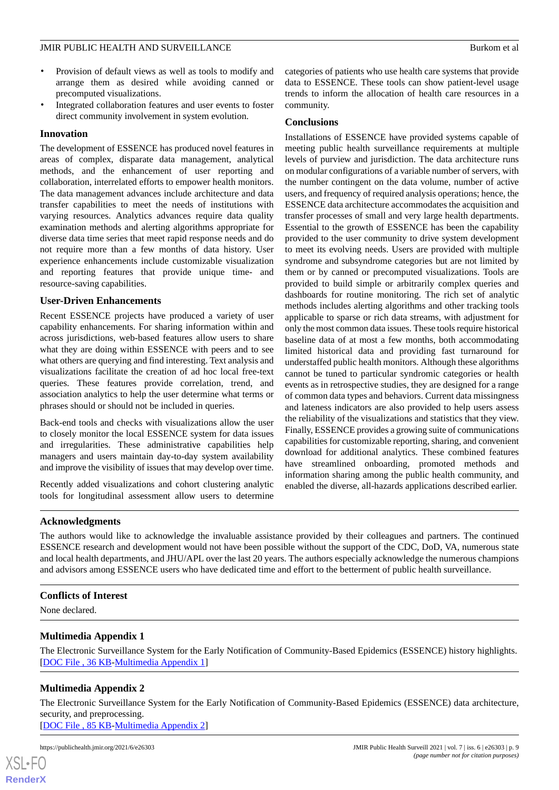- Provision of default views as well as tools to modify and arrange them as desired while avoiding canned or precomputed visualizations.
- Integrated collaboration features and user events to foster direct community involvement in system evolution.

## **Innovation**

The development of ESSENCE has produced novel features in areas of complex, disparate data management, analytical methods, and the enhancement of user reporting and collaboration, interrelated efforts to empower health monitors. The data management advances include architecture and data transfer capabilities to meet the needs of institutions with varying resources. Analytics advances require data quality examination methods and alerting algorithms appropriate for diverse data time series that meet rapid response needs and do not require more than a few months of data history. User experience enhancements include customizable visualization and reporting features that provide unique time- and resource-saving capabilities.

#### **User-Driven Enhancements**

Recent ESSENCE projects have produced a variety of user capability enhancements. For sharing information within and across jurisdictions, web-based features allow users to share what they are doing within ESSENCE with peers and to see what others are querying and find interesting. Text analysis and visualizations facilitate the creation of ad hoc local free-text queries. These features provide correlation, trend, and association analytics to help the user determine what terms or phrases should or should not be included in queries.

Back-end tools and checks with visualizations allow the user to closely monitor the local ESSENCE system for data issues and irregularities. These administrative capabilities help managers and users maintain day-to-day system availability and improve the visibility of issues that may develop over time.

Recently added visualizations and cohort clustering analytic tools for longitudinal assessment allow users to determine

categories of patients who use health care systems that provide data to ESSENCE. These tools can show patient-level usage trends to inform the allocation of health care resources in a community.

## **Conclusions**

Installations of ESSENCE have provided systems capable of meeting public health surveillance requirements at multiple levels of purview and jurisdiction. The data architecture runs on modular configurations of a variable number of servers, with the number contingent on the data volume, number of active users, and frequency of required analysis operations; hence, the ESSENCE data architecture accommodates the acquisition and transfer processes of small and very large health departments. Essential to the growth of ESSENCE has been the capability provided to the user community to drive system development to meet its evolving needs. Users are provided with multiple syndrome and subsyndrome categories but are not limited by them or by canned or precomputed visualizations. Tools are provided to build simple or arbitrarily complex queries and dashboards for routine monitoring. The rich set of analytic methods includes alerting algorithms and other tracking tools applicable to sparse or rich data streams, with adjustment for only the most common data issues. These tools require historical baseline data of at most a few months, both accommodating limited historical data and providing fast turnaround for understaffed public health monitors. Although these algorithms cannot be tuned to particular syndromic categories or health events as in retrospective studies, they are designed for a range of common data types and behaviors. Current data missingness and lateness indicators are also provided to help users assess the reliability of the visualizations and statistics that they view. Finally, ESSENCE provides a growing suite of communications capabilities for customizable reporting, sharing, and convenient download for additional analytics. These combined features have streamlined onboarding, promoted methods and information sharing among the public health community, and enabled the diverse, all-hazards applications described earlier.

#### **Acknowledgments**

The authors would like to acknowledge the invaluable assistance provided by their colleagues and partners. The continued ESSENCE research and development would not have been possible without the support of the CDC, DoD, VA, numerous state and local health departments, and JHU/APL over the last 20 years. The authors especially acknowledge the numerous champions and advisors among ESSENCE users who have dedicated time and effort to the betterment of public health surveillance.

## <span id="page-8-0"></span>**Conflicts of Interest**

<span id="page-8-1"></span>None declared.

[XSL](http://www.w3.org/Style/XSL)•FO **[RenderX](http://www.renderx.com/)**

## **Multimedia Appendix 1**

The Electronic Surveillance System for the Early Notification of Community-Based Epidemics (ESSENCE) history highlights. [DOC File, 36 KB-Multimedia Appendix 1]

## **Multimedia Appendix 2**

The Electronic Surveillance System for the Early Notification of Community-Based Epidemics (ESSENCE) data architecture, security, and preprocessing. [[DOC File , 85 KB-Multimedia Appendix 2](https://jmir.org/api/download?alt_name=publichealth_v7i6e26303_app2.doc&filename=9113432f3618aa09d132dbb23b8fb373.doc)]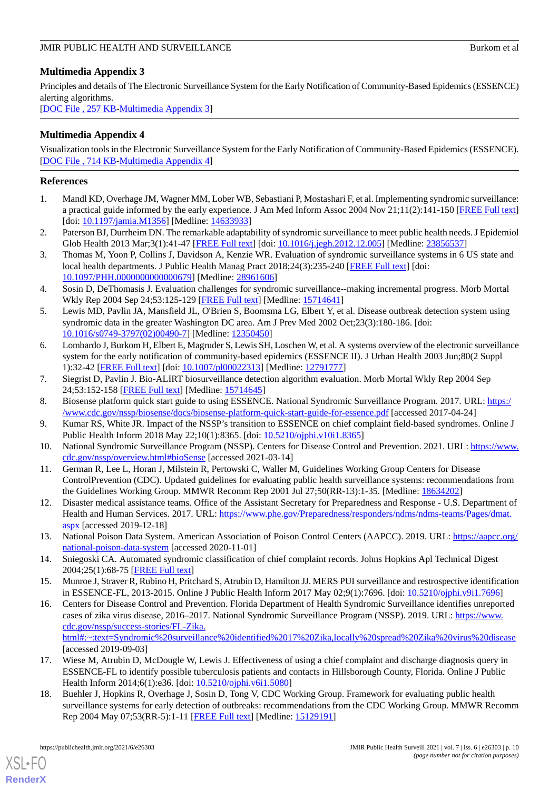## <span id="page-9-15"></span>**Multimedia Appendix 3**

Principles and details of The Electronic Surveillance System for the Early Notification of Community-Based Epidemics (ESSENCE) alerting algorithms.

[[DOC File , 257 KB-Multimedia Appendix 3](https://jmir.org/api/download?alt_name=publichealth_v7i6e26303_app3.doc&filename=20d2e2cadfa7d09cf056817d65a068df.doc)]

## <span id="page-9-9"></span>**Multimedia Appendix 4**

Visualization tools in the Electronic Surveillance System for the Early Notification of Community-Based Epidemics (ESSENCE). [[DOC File , 714 KB-Multimedia Appendix 4](https://jmir.org/api/download?alt_name=publichealth_v7i6e26303_app4.doc&filename=c6f2975a2cc888cb8206d948af99dfe6.doc)]

## <span id="page-9-0"></span>**References**

- 1. Mandl KD, Overhage JM, Wagner MM, Lober WB, Sebastiani P, Mostashari F, et al. Implementing syndromic surveillance: a practical guide informed by the early experience. J Am Med Inform Assoc 2004 Nov 21;11(2):141-150 [\[FREE Full text](http://europepmc.org/abstract/MED/14633933)] [doi: [10.1197/jamia.M1356\]](http://dx.doi.org/10.1197/jamia.M1356) [Medline: [14633933\]](http://www.ncbi.nlm.nih.gov/entrez/query.fcgi?cmd=Retrieve&db=PubMed&list_uids=14633933&dopt=Abstract)
- 2. Paterson BJ, Durrheim DN. The remarkable adaptability of syndromic surveillance to meet public health needs. J Epidemiol Glob Health 2013 Mar;3(1):41-47 [[FREE Full text](https://linkinghub.elsevier.com/retrieve/pii/S2210-6006(12)00067-6)] [doi: [10.1016/j.jegh.2012.12.005](http://dx.doi.org/10.1016/j.jegh.2012.12.005)] [Medline: [23856537](http://www.ncbi.nlm.nih.gov/entrez/query.fcgi?cmd=Retrieve&db=PubMed&list_uids=23856537&dopt=Abstract)]
- <span id="page-9-1"></span>3. Thomas M, Yoon P, Collins J, Davidson A, Kenzie WR. Evaluation of syndromic surveillance systems in 6 US state and local health departments. J Public Health Manag Pract 2018;24(3):235-240 [[FREE Full text](http://europepmc.org/abstract/MED/28961606)] [doi: [10.1097/PHH.0000000000000679](http://dx.doi.org/10.1097/PHH.0000000000000679)] [Medline: [28961606](http://www.ncbi.nlm.nih.gov/entrez/query.fcgi?cmd=Retrieve&db=PubMed&list_uids=28961606&dopt=Abstract)]
- <span id="page-9-2"></span>4. Sosin D, DeThomasis J. Evaluation challenges for syndromic surveillance--making incremental progress. Morb Mortal Wkly Rep 2004 Sep 24;53:125-129 [[FREE Full text\]](http://www.cdc.gov/mmwr/preview/mmwrhtml/su5301a25.htm) [Medline: [15714641\]](http://www.ncbi.nlm.nih.gov/entrez/query.fcgi?cmd=Retrieve&db=PubMed&list_uids=15714641&dopt=Abstract)
- <span id="page-9-3"></span>5. Lewis MD, Pavlin JA, Mansfield JL, O'Brien S, Boomsma LG, Elbert Y, et al. Disease outbreak detection system using syndromic data in the greater Washington DC area. Am J Prev Med 2002 Oct;23(3):180-186. [doi: [10.1016/s0749-3797\(02\)00490-7](http://dx.doi.org/10.1016/s0749-3797(02)00490-7)] [Medline: [12350450\]](http://www.ncbi.nlm.nih.gov/entrez/query.fcgi?cmd=Retrieve&db=PubMed&list_uids=12350450&dopt=Abstract)
- <span id="page-9-4"></span>6. Lombardo J, Burkom H, Elbert E, Magruder S, Lewis SH, Loschen W, et al. A systems overview of the electronic surveillance system for the early notification of community-based epidemics (ESSENCE II). J Urban Health 2003 Jun;80(2 Suppl 1):32-42 [[FREE Full text](http://europepmc.org/abstract/MED/12791777)] [doi: [10.1007/pl00022313\]](http://dx.doi.org/10.1007/pl00022313) [Medline: [12791777](http://www.ncbi.nlm.nih.gov/entrez/query.fcgi?cmd=Retrieve&db=PubMed&list_uids=12791777&dopt=Abstract)]
- <span id="page-9-6"></span><span id="page-9-5"></span>7. Siegrist D, Pavlin J. Bio-ALIRT biosurveillance detection algorithm evaluation. Morb Mortal Wkly Rep 2004 Sep 24;53:152-158 [\[FREE Full text\]](http://www.cdc.gov/mmwr/preview/mmwrhtml/su5301a29.htm) [Medline: [15714645](http://www.ncbi.nlm.nih.gov/entrez/query.fcgi?cmd=Retrieve&db=PubMed&list_uids=15714645&dopt=Abstract)]
- <span id="page-9-7"></span>8. Biosense platform quick start guide to using ESSENCE. National Syndromic Surveillance Program. 2017. URL: [https:/](https://www.cdc.gov/nssp/biosense/docs/biosense-platform-quick-start-guide-for-essence.pdf) [/www.cdc.gov/nssp/biosense/docs/biosense-platform-quick-start-guide-for-essence.pdf](https://www.cdc.gov/nssp/biosense/docs/biosense-platform-quick-start-guide-for-essence.pdf) [accessed 2017-04-24]
- <span id="page-9-8"></span>9. Kumar RS, White JR. Impact of the NSSP's transition to ESSENCE on chief complaint field-based syndromes. Online J Public Health Inform 2018 May 22;10(1):8365. [doi: [10.5210/ojphi.v10i1.8365\]](http://dx.doi.org/10.5210/ojphi.v10i1.8365)
- <span id="page-9-10"></span>10. National Syndromic Surveillance Program (NSSP). Centers for Disease Control and Prevention. 2021. URL: [https://www.](https://www.cdc.gov/nssp/overview.html#bioSense) [cdc.gov/nssp/overview.html#bioSense](https://www.cdc.gov/nssp/overview.html#bioSense) [accessed 2021-03-14]
- <span id="page-9-11"></span>11. German R, Lee L, Horan J, Milstein R, Pertowski C, Waller M, Guidelines Working Group Centers for Disease ControlPrevention (CDC). Updated guidelines for evaluating public health surveillance systems: recommendations from the Guidelines Working Group. MMWR Recomm Rep 2001 Jul 27;50(RR-13):1-35. [Medline: [18634202](http://www.ncbi.nlm.nih.gov/entrez/query.fcgi?cmd=Retrieve&db=PubMed&list_uids=18634202&dopt=Abstract)]
- <span id="page-9-12"></span>12. Disaster medical assistance teams. Office of the Assistant Secretary for Preparedness and Response - U.S. Department of Health and Human Services. 2017. URL: [https://www.phe.gov/Preparedness/responders/ndms/ndms-teams/Pages/dmat.](https://www.phe.gov/Preparedness/responders/ndms/ndms-teams/Pages/dmat.aspx) [aspx](https://www.phe.gov/Preparedness/responders/ndms/ndms-teams/Pages/dmat.aspx) [accessed 2019-12-18]
- <span id="page-9-17"></span><span id="page-9-13"></span>13. National Poison Data System. American Association of Poison Control Centers (AAPCC). 2019. URL: [https://aapcc.org/](https://aapcc.org/national-poison-data-system) [national-poison-data-system](https://aapcc.org/national-poison-data-system) [accessed 2020-11-01]
- 14. Sniegoski CA. Automated syndromic classification of chief complaint records. Johns Hopkins Apl Technical Digest 2004;25(1):68-75 [[FREE Full text](https://www.jhuapl.edu/Content/techdigest/pdf/V25-N01/25-01-Sniegoski.pdf)]
- 15. Munroe J, Straver R, Rubino H, Pritchard S, Atrubin D, Hamilton JJ. MERS PUI surveillance and restrospective identification in ESSENCE-FL, 2013-2015. Online J Public Health Inform 2017 May 02;9(1):7696. [doi: [10.5210/ojphi.v9i1.7696\]](http://dx.doi.org/10.5210/ojphi.v9i1.7696)
- <span id="page-9-16"></span><span id="page-9-14"></span>16. Centers for Disease Control and Prevention. Florida Department of Health Syndromic Surveillance identifies unreported cases of zika virus disease, 2016–2017. National Syndromic Surveillance Program (NSSP). 2019. URL: [https://www.](https://www.cdc.gov/nssp/success-stories/FL-Zika.html#:~:text=Syndromic%20surveillance%20identified%2017%20Zika,locally%20spread%20Zika%20virus%20disease) [cdc.gov/nssp/success-stories/FL-Zika.](https://www.cdc.gov/nssp/success-stories/FL-Zika.html#:~:text=Syndromic%20surveillance%20identified%2017%20Zika,locally%20spread%20Zika%20virus%20disease) [html#:~:text=Syndromic%20surveillance%20identified%2017%20Zika,locally%20spread%20Zika%20virus%20disease](https://www.cdc.gov/nssp/success-stories/FL-Zika.html#:~:text=Syndromic%20surveillance%20identified%2017%20Zika,locally%20spread%20Zika%20virus%20disease) [accessed 2019-09-03]
- 17. Wiese M, Atrubin D, McDougle W, Lewis J. Effectiveness of using a chief complaint and discharge diagnosis query in ESSENCE-FL to identify possible tuberculosis patients and contacts in Hillsborough County, Florida. Online J Public Health Inform 2014;6(1):e36. [doi: [10.5210/ojphi.v6i1.5080\]](http://dx.doi.org/10.5210/ojphi.v6i1.5080)
- 18. Buehler J, Hopkins R, Overhage J, Sosin D, Tong V, CDC Working Group. Framework for evaluating public health surveillance systems for early detection of outbreaks: recommendations from the CDC Working Group. MMWR Recomm Rep 2004 May 07;53(RR-5):1-11 [\[FREE Full text\]](https://www.cdc.gov/mmwr/preview/mmwrhtml/rr5305a1.htm) [Medline: [15129191\]](http://www.ncbi.nlm.nih.gov/entrez/query.fcgi?cmd=Retrieve&db=PubMed&list_uids=15129191&dopt=Abstract)

[XSL](http://www.w3.org/Style/XSL)•FO **[RenderX](http://www.renderx.com/)**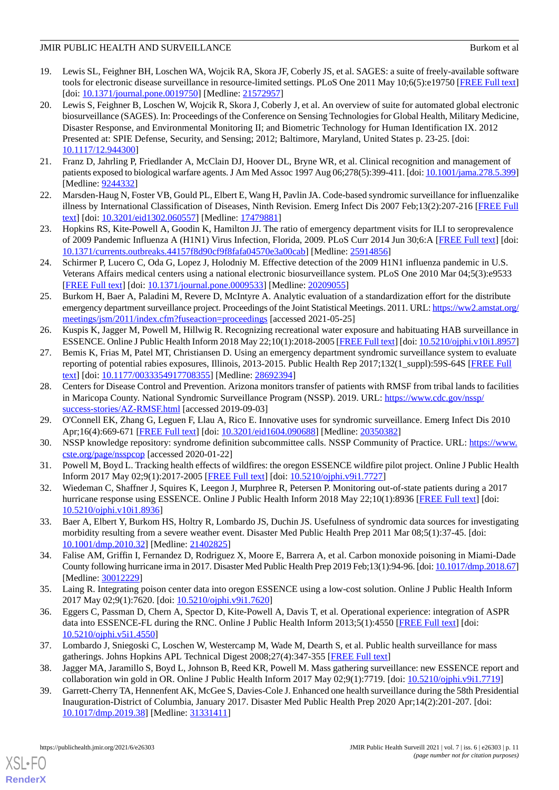- <span id="page-10-0"></span>19. Lewis SL, Feighner BH, Loschen WA, Wojcik RA, Skora JF, Coberly JS, et al. SAGES: a suite of freely-available software tools for electronic disease surveillance in resource-limited settings. PLoS One 2011 May 10;6(5):e19750 [[FREE Full text](https://dx.plos.org/10.1371/journal.pone.0019750)] [doi: [10.1371/journal.pone.0019750\]](http://dx.doi.org/10.1371/journal.pone.0019750) [Medline: [21572957\]](http://www.ncbi.nlm.nih.gov/entrez/query.fcgi?cmd=Retrieve&db=PubMed&list_uids=21572957&dopt=Abstract)
- <span id="page-10-1"></span>20. Lewis S, Feighner B, Loschen W, Wojcik R, Skora J, Coberly J, et al. An overview of suite for automated global electronic biosurveillance (SAGES). In: Proceedings of the Conference on Sensing Technologies for Global Health, Military Medicine, Disaster Response, and Environmental Monitoring II; and Biometric Technology for Human Identification IX. 2012 Presented at: SPIE Defense, Security, and Sensing; 2012; Baltimore, Maryland, United States p. 23-25. [doi: [10.1117/12.944300](http://dx.doi.org/10.1117/12.944300)]
- <span id="page-10-3"></span><span id="page-10-2"></span>21. Franz D, Jahrling P, Friedlander A, McClain DJ, Hoover DL, Bryne WR, et al. Clinical recognition and management of patients exposed to biological warfare agents. J Am Med Assoc 1997 Aug 06;278(5):399-411. [doi: [10.1001/jama.278.5.399\]](http://dx.doi.org/10.1001/jama.278.5.399) [Medline: [9244332\]](http://www.ncbi.nlm.nih.gov/entrez/query.fcgi?cmd=Retrieve&db=PubMed&list_uids=9244332&dopt=Abstract)
- <span id="page-10-4"></span>22. Marsden-Haug N, Foster VB, Gould PL, Elbert E, Wang H, Pavlin JA. Code-based syndromic surveillance for influenzalike illness by International Classification of Diseases, Ninth Revision. Emerg Infect Dis 2007 Feb;13(2):207-216 [[FREE Full](https://www.cdc.gov/eid/content/13/2/207.htm) [text](https://www.cdc.gov/eid/content/13/2/207.htm)] [doi: [10.3201/eid1302.060557\]](http://dx.doi.org/10.3201/eid1302.060557) [Medline: [17479881](http://www.ncbi.nlm.nih.gov/entrez/query.fcgi?cmd=Retrieve&db=PubMed&list_uids=17479881&dopt=Abstract)]
- <span id="page-10-5"></span>23. Hopkins RS, Kite-Powell A, Goodin K, Hamilton JJ. The ratio of emergency department visits for ILI to seroprevalence of 2009 Pandemic Influenza A (H1N1) Virus Infection, Florida, 2009. PLoS Curr 2014 Jun 30;6:A [\[FREE Full text\]](https://doi.org/10.1371/currents.outbreaks.44157f8d90cf9f8fafa04570e3a00cab) [doi: [10.1371/currents.outbreaks.44157f8d90cf9f8fafa04570e3a00cab](http://dx.doi.org/10.1371/currents.outbreaks.44157f8d90cf9f8fafa04570e3a00cab)] [Medline: [25914856](http://www.ncbi.nlm.nih.gov/entrez/query.fcgi?cmd=Retrieve&db=PubMed&list_uids=25914856&dopt=Abstract)]
- <span id="page-10-6"></span>24. Schirmer P, Lucero C, Oda G, Lopez J, Holodniy M. Effective detection of the 2009 H1N1 influenza pandemic in U.S. Veterans Affairs medical centers using a national electronic biosurveillance system. PLoS One 2010 Mar 04;5(3):e9533 [[FREE Full text](https://dx.plos.org/10.1371/journal.pone.0009533)] [doi: [10.1371/journal.pone.0009533](http://dx.doi.org/10.1371/journal.pone.0009533)] [Medline: [20209055](http://www.ncbi.nlm.nih.gov/entrez/query.fcgi?cmd=Retrieve&db=PubMed&list_uids=20209055&dopt=Abstract)]
- <span id="page-10-7"></span>25. Burkom H, Baer A, Paladini M, Revere D, McIntyre A. Analytic evaluation of a standardization effort for the distribute emergency department surveillance project. Proceedings of the Joint Statistical Meetings. 2011. URL: [https://ww2.amstat.org/](https://ww2.amstat.org/meetings/jsm/2011/index.cfm?fuseaction=proceedings) [meetings/jsm/2011/index.cfm?fuseaction=proceedings](https://ww2.amstat.org/meetings/jsm/2011/index.cfm?fuseaction=proceedings) [accessed 2021-05-25]
- <span id="page-10-8"></span>26. Kuspis K, Jagger M, Powell M, Hillwig R. Recognizing recreational water exposure and habituating HAB surveillance in ESSENCE. Online J Public Health Inform 2018 May 22;10(1):2018-2005 [[FREE Full text\]](https://ojphi.org/ojs/index.php/ojphi/article/view/8957) [doi: [10.5210/ojphi.v10i1.8957\]](http://dx.doi.org/10.5210/ojphi.v10i1.8957)
- <span id="page-10-9"></span>27. Bemis K, Frias M, Patel MT, Christiansen D. Using an emergency department syndromic surveillance system to evaluate reporting of potential rabies exposures, Illinois, 2013-2015. Public Health Rep 2017;132(1\_suppl):59S-64S [[FREE Full](http://europepmc.org/abstract/MED/28692394) [text](http://europepmc.org/abstract/MED/28692394)] [doi: [10.1177/0033354917708355\]](http://dx.doi.org/10.1177/0033354917708355) [Medline: [28692394\]](http://www.ncbi.nlm.nih.gov/entrez/query.fcgi?cmd=Retrieve&db=PubMed&list_uids=28692394&dopt=Abstract)
- <span id="page-10-11"></span><span id="page-10-10"></span>28. Centers for Disease Control and Prevention. Arizona monitors transfer of patients with RMSF from tribal lands to facilities in Maricopa County. National Syndromic Surveillance Program (NSSP). 2019. URL: [https://www.cdc.gov/nssp/](https://www.cdc.gov/nssp/success-stories/AZ-RMSF.html) [success-stories/AZ-RMSF.html](https://www.cdc.gov/nssp/success-stories/AZ-RMSF.html) [accessed 2019-09-03]
- <span id="page-10-12"></span>29. O'Connell EK, Zhang G, Leguen F, Llau A, Rico E. Innovative uses for syndromic surveillance. Emerg Infect Dis 2010 Apr;16(4):669-671 [\[FREE Full text\]](https://dx.doi.org/10.3201/eid1604.090688) [doi: [10.3201/eid1604.090688](http://dx.doi.org/10.3201/eid1604.090688)] [Medline: [20350382\]](http://www.ncbi.nlm.nih.gov/entrez/query.fcgi?cmd=Retrieve&db=PubMed&list_uids=20350382&dopt=Abstract)
- <span id="page-10-13"></span>30. NSSP knowledge repository: syndrome definition subcommittee calls. NSSP Community of Practice. URL: [https://www.](https://www.cste.org/page/nsspcop) [cste.org/page/nsspcop](https://www.cste.org/page/nsspcop) [accessed 2020-01-22]
- <span id="page-10-14"></span>31. Powell M, Boyd L. Tracking health effects of wildfires: the oregon ESSENCE wildfire pilot project. Online J Public Health Inform 2017 May 02;9(1):2017-2005 [[FREE Full text\]](https://ojphi.org/ojs/index.php/ojphi/article/view/7727) [doi: [10.5210/ojphi.v9i1.7727\]](http://dx.doi.org/10.5210/ojphi.v9i1.7727)
- <span id="page-10-15"></span>32. Wiedeman C, Shaffner J, Squires K, Leegon J, Murphree R, Petersen P. Monitoring out-of-state patients during a 2017 hurricane response using ESSENCE. Online J Public Health Inform 2018 May 22;10(1):8936 [[FREE Full text](https://ojphi.org/ojs/index.php/ojphi/article/view/8936)] [doi: [10.5210/ojphi.v10i1.8936](http://dx.doi.org/10.5210/ojphi.v10i1.8936)]
- <span id="page-10-16"></span>33. Baer A, Elbert Y, Burkom HS, Holtry R, Lombardo JS, Duchin JS. Usefulness of syndromic data sources for investigating morbidity resulting from a severe weather event. Disaster Med Public Health Prep 2011 Mar 08;5(1):37-45. [doi: [10.1001/dmp.2010.32\]](http://dx.doi.org/10.1001/dmp.2010.32) [Medline: [21402825](http://www.ncbi.nlm.nih.gov/entrez/query.fcgi?cmd=Retrieve&db=PubMed&list_uids=21402825&dopt=Abstract)]
- <span id="page-10-17"></span>34. Falise AM, Griffin I, Fernandez D, Rodriguez X, Moore E, Barrera A, et al. Carbon monoxide poisoning in Miami-Dade County following hurricane irma in 2017. Disaster Med Public Health Prep 2019 Feb;13(1):94-96. [doi: [10.1017/dmp.2018.67\]](http://dx.doi.org/10.1017/dmp.2018.67) [Medline: [30012229](http://www.ncbi.nlm.nih.gov/entrez/query.fcgi?cmd=Retrieve&db=PubMed&list_uids=30012229&dopt=Abstract)]
- <span id="page-10-18"></span>35. Laing R. Integrating poison center data into oregon ESSENCE using a low-cost solution. Online J Public Health Inform 2017 May 02;9(1):7620. [doi: [10.5210/ojphi.v9i1.7620](http://dx.doi.org/10.5210/ojphi.v9i1.7620)]
- <span id="page-10-20"></span><span id="page-10-19"></span>36. Eggers C, Passman D, Chern A, Spector D, Kite-Powell A, Davis T, et al. Operational experience: integration of ASPR data into ESSENCE-FL during the RNC. Online J Public Health Inform 2013;5(1):4550 [\[FREE Full text\]](https://journals.uic.edu/ojs/index.php/ojphi/article/view/4550) [doi: [10.5210/ojphi.v5i1.4550](http://dx.doi.org/10.5210/ojphi.v5i1.4550)]
- 37. Lombardo J, Sniegoski C, Loschen W, Westercamp M, Wade M, Dearth S, et al. Public health surveillance for mass gatherings. Johns Hopkins APL Technical Digest 2008;27(4):347-355 [\[FREE Full text\]](https://jhu.pure.elsevier.com/en/publications/public-health-surveillance-for-mass-gatherings-3)
- 38. Jagger MA, Jaramillo S, Boyd L, Johnson B, Reed KR, Powell M. Mass gathering surveillance: new ESSENCE report and collaboration win gold in OR. Online J Public Health Inform 2017 May 02;9(1):7719. [doi: [10.5210/ojphi.v9i1.7719\]](http://dx.doi.org/10.5210/ojphi.v9i1.7719)
- 39. Garrett-Cherry TA, Hennenfent AK, McGee S, Davies-Cole J. Enhanced one health surveillance during the 58th Presidential Inauguration-District of Columbia, January 2017. Disaster Med Public Health Prep 2020 Apr;14(2):201-207. [doi: [10.1017/dmp.2019.38\]](http://dx.doi.org/10.1017/dmp.2019.38) [Medline: [31331411](http://www.ncbi.nlm.nih.gov/entrez/query.fcgi?cmd=Retrieve&db=PubMed&list_uids=31331411&dopt=Abstract)]

[XSL](http://www.w3.org/Style/XSL)•FO **[RenderX](http://www.renderx.com/)**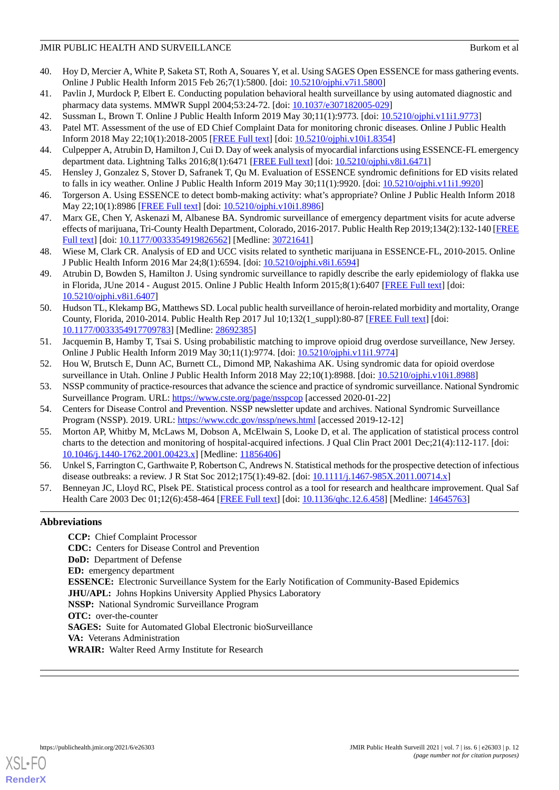- <span id="page-11-0"></span>40. Hoy D, Mercier A, White P, Saketa ST, Roth A, Souares Y, et al. Using SAGES Open ESSENCE for mass gathering events. Online J Public Health Inform 2015 Feb 26;7(1):5800. [doi: [10.5210/ojphi.v7i1.5800](http://dx.doi.org/10.5210/ojphi.v7i1.5800)]
- <span id="page-11-1"></span>41. Pavlin J, Murdock P, Elbert E. Conducting population behavioral health surveillance by using automated diagnostic and pharmacy data systems. MMWR Suppl 2004;53:24-72. [doi: [10.1037/e307182005-029\]](http://dx.doi.org/10.1037/e307182005-029)
- <span id="page-11-3"></span><span id="page-11-2"></span>42. Sussman L, Brown T. Online J Public Health Inform 2019 May 30;11(1):9773. [doi: [10.5210/ojphi.v11i1.9773\]](http://dx.doi.org/10.5210/ojphi.v11i1.9773)
- <span id="page-11-4"></span>43. Patel MT. Assessment of the use of ED Chief Complaint Data for monitoring chronic diseases. Online J Public Health Inform 2018 May 22;10(1):2018-2005 [\[FREE Full text\]](https://journals.uic.edu/ojs/index.php/ojphi/article/view/8354) [doi: [10.5210/ojphi.v10i1.8354\]](http://dx.doi.org/10.5210/ojphi.v10i1.8354)
- <span id="page-11-5"></span>44. Culpepper A, Atrubin D, Hamilton J, Cui D. Day of week analysis of myocardial infarctions using ESSENCE-FL emergency department data. Lightning Talks 2016;8(1):6471 [[FREE Full text](https://journals.uic.edu/ojs/index.php/ojphi/article/view/6471)] [doi: [10.5210/ojphi.v8i1.6471\]](http://dx.doi.org/10.5210/ojphi.v8i1.6471)
- <span id="page-11-6"></span>45. Hensley J, Gonzalez S, Stover D, Safranek T, Qu M. Evaluation of ESSENCE syndromic definitions for ED visits related to falls in icy weather. Online J Public Health Inform 2019 May 30;11(1):9920. [doi: [10.5210/ojphi.v11i1.9920\]](http://dx.doi.org/10.5210/ojphi.v11i1.9920)
- <span id="page-11-7"></span>46. Torgerson A. Using ESSENCE to detect bomb-making activity: what's appropriate? Online J Public Health Inform 2018 May 22;10(1):8986 [\[FREE Full text\]](https://ojphi.org/ojs/index.php/ojphi/article/view/8986) [doi: [10.5210/ojphi.v10i1.8986\]](http://dx.doi.org/10.5210/ojphi.v10i1.8986)
- <span id="page-11-8"></span>47. Marx GE, Chen Y, Askenazi M, Albanese BA. Syndromic surveillance of emergency department visits for acute adverse effects of marijuana, Tri-County Health Department, Colorado, 2016-2017. Public Health Rep 2019;134(2):132-140 [\[FREE](http://europepmc.org/abstract/MED/30721641) [Full text\]](http://europepmc.org/abstract/MED/30721641) [doi: [10.1177/0033354919826562](http://dx.doi.org/10.1177/0033354919826562)] [Medline: [30721641](http://www.ncbi.nlm.nih.gov/entrez/query.fcgi?cmd=Retrieve&db=PubMed&list_uids=30721641&dopt=Abstract)]
- <span id="page-11-9"></span>48. Wiese M, Clark CR. Analysis of ED and UCC visits related to synthetic marijuana in ESSENCE-FL, 2010-2015. Online J Public Health Inform 2016 Mar 24;8(1):6594. [doi: [10.5210/ojphi.v8i1.6594](http://dx.doi.org/10.5210/ojphi.v8i1.6594)]
- <span id="page-11-10"></span>49. Atrubin D, Bowden S, Hamilton J. Using syndromic surveillance to rapidly describe the early epidemiology of flakka use in Florida, JUne 2014 - August 2015. Online J Public Health Inform 2015;8(1):6407 [\[FREE Full text](https://doi.org/10.5210/ojphi.v8i1.6407)] [doi: [10.5210/ojphi.v8i1.6407](http://dx.doi.org/10.5210/ojphi.v8i1.6407)]
- 50. Hudson TL, Klekamp BG, Matthews SD. Local public health surveillance of heroin-related morbidity and mortality, Orange County, Florida, 2010-2014. Public Health Rep 2017 Jul 10;132(1\_suppl):80-87 [\[FREE Full text\]](http://europepmc.org/abstract/MED/28692385) [doi: [10.1177/0033354917709783\]](http://dx.doi.org/10.1177/0033354917709783) [Medline: [28692385\]](http://www.ncbi.nlm.nih.gov/entrez/query.fcgi?cmd=Retrieve&db=PubMed&list_uids=28692385&dopt=Abstract)
- <span id="page-11-12"></span><span id="page-11-11"></span>51. Jacquemin B, Hamby T, Tsai S. Using probabilistic matching to improve opioid drug overdose surveillance, New Jersey. Online J Public Health Inform 2019 May 30;11(1):9774. [doi: [10.5210/ojphi.v11i1.9774\]](http://dx.doi.org/10.5210/ojphi.v11i1.9774)
- <span id="page-11-13"></span>52. Hou W, Brutsch E, Dunn AC, Burnett CL, Dimond MP, Nakashima AK. Using syndromic data for opioid overdose surveillance in Utah. Online J Public Health Inform 2018 May 22;10(1):8988. [doi: [10.5210/ojphi.v10i1.8988](http://dx.doi.org/10.5210/ojphi.v10i1.8988)]
- <span id="page-11-14"></span>53. NSSP community of practice-resources that advance the science and practice of syndromic surveillance. National Syndromic Surveillance Program. URL: <https://www.cste.org/page/nsspcop> [accessed 2020-01-22]
- 54. Centers for Disease Control and Prevention. NSSP newsletter update and archives. National Syndromic Surveillance Program (NSSP). 2019. URL:<https://www.cdc.gov/nssp/news.html> [accessed 2019-12-12]
- <span id="page-11-15"></span>55. Morton AP, Whitby M, McLaws M, Dobson A, McElwain S, Looke D, et al. The application of statistical process control charts to the detection and monitoring of hospital-acquired infections. J Qual Clin Pract 2001 Dec;21(4):112-117. [doi: [10.1046/j.1440-1762.2001.00423.x\]](http://dx.doi.org/10.1046/j.1440-1762.2001.00423.x) [Medline: [11856406\]](http://www.ncbi.nlm.nih.gov/entrez/query.fcgi?cmd=Retrieve&db=PubMed&list_uids=11856406&dopt=Abstract)
- 56. Unkel S, Farrington C, Garthwaite P, Robertson C, Andrews N. Statistical methods for the prospective detection of infectious disease outbreaks: a review. J R Stat Soc 2012;175(1):49-82. [doi: [10.1111/j.1467-985X.2011.00714.x\]](http://dx.doi.org/10.1111/j.1467-985X.2011.00714.x)
- 57. Benneyan JC, Lloyd RC, Plsek PE. Statistical process control as a tool for research and healthcare improvement. Qual Saf Health Care 2003 Dec 01;12(6):458-464 [\[FREE Full text\]](https://qhc.bmj.com/lookup/pmidlookup?view=long&pmid=14645763) [doi: [10.1136/qhc.12.6.458](http://dx.doi.org/10.1136/qhc.12.6.458)] [Medline: [14645763](http://www.ncbi.nlm.nih.gov/entrez/query.fcgi?cmd=Retrieve&db=PubMed&list_uids=14645763&dopt=Abstract)]

## **Abbreviations**

**CCP:** Chief Complaint Processor **CDC:** Centers for Disease Control and Prevention **DoD:** Department of Defense **ED:** emergency department **ESSENCE:** Electronic Surveillance System for the Early Notification of Community-Based Epidemics **JHU/APL:** Johns Hopkins University Applied Physics Laboratory **NSSP:** National Syndromic Surveillance Program **OTC:** over-the-counter **SAGES:** Suite for Automated Global Electronic bioSurveillance **VA:** Veterans Administration **WRAIR:** Walter Reed Army Institute for Research